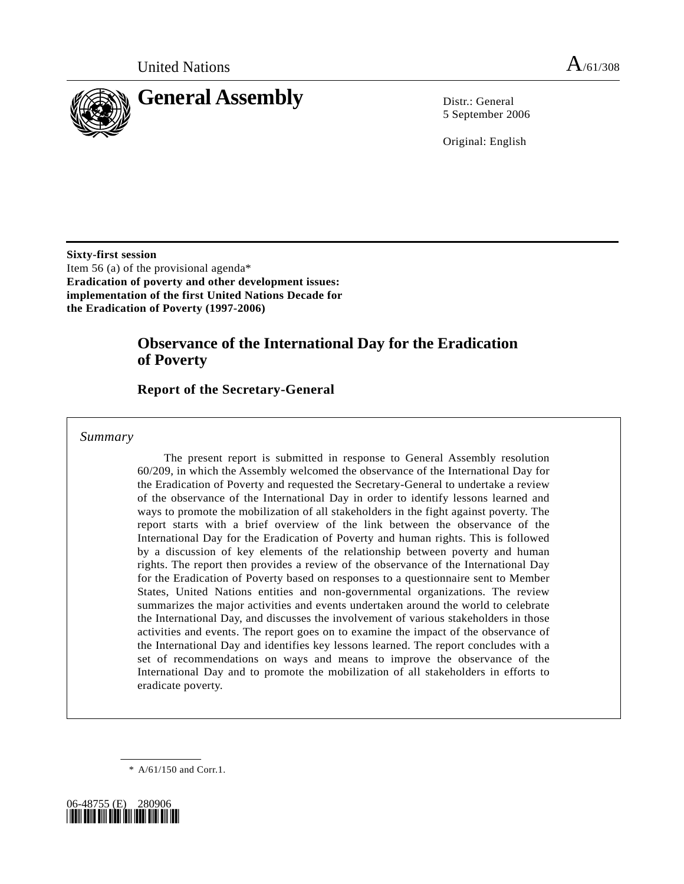

5 September 2006

Original: English

**Sixty-first session**  Item 56 (a) of the provisional agenda\* **Eradication of poverty and other development issues: implementation of the first United Nations Decade for the Eradication of Poverty (1997-2006)** 

# **Observance of the International Day for the Eradication of Poverty**

# **Report of the Secretary-General**

# *Summary*

 The present report is submitted in response to General Assembly resolution 60/209, in which the Assembly welcomed the observance of the International Day for the Eradication of Poverty and requested the Secretary-General to undertake a review of the observance of the International Day in order to identify lessons learned and ways to promote the mobilization of all stakeholders in the fight against poverty. The report starts with a brief overview of the link between the observance of the International Day for the Eradication of Poverty and human rights. This is followed by a discussion of key elements of the relationship between poverty and human rights. The report then provides a review of the observance of the International Day for the Eradication of Poverty based on responses to a questionnaire sent to Member States, United Nations entities and non-governmental organizations. The review summarizes the major activities and events undertaken around the world to celebrate the International Day, and discusses the involvement of various stakeholders in those activities and events. The report goes on to examine the impact of the observance of the International Day and identifies key lessons learned. The report concludes with a set of recommendations on ways and means to improve the observance of the International Day and to promote the mobilization of all stakeholders in efforts to eradicate poverty.

\* A/61/150 and Corr.1.

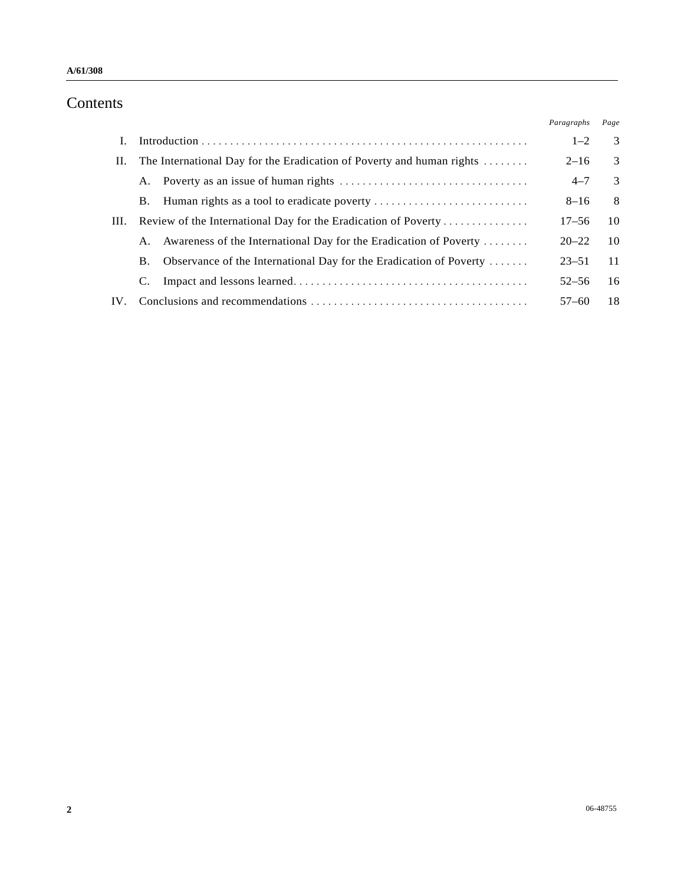# Contents

|     |                                                                                     |                                                                    | Paragraphs | Page |
|-----|-------------------------------------------------------------------------------------|--------------------------------------------------------------------|------------|------|
|     |                                                                                     |                                                                    | $1 - 2$    | 3    |
| Н.  | The International Day for the Eradication of Poverty and human rights $\dots \dots$ |                                                                    | $2 - 16$   | 3    |
|     | А.                                                                                  |                                                                    | $4 - 7$    | 3    |
|     | В.                                                                                  |                                                                    | $8 - 16$   | 8    |
| Ш.  | Review of the International Day for the Eradication of Poverty                      |                                                                    | $17 - 56$  | 10   |
|     | A.                                                                                  | Awareness of the International Day for the Eradication of Poverty  | $20 - 22$  | 10   |
|     | В.                                                                                  | Observance of the International Day for the Eradication of Poverty | $23 - 51$  | 11   |
|     |                                                                                     |                                                                    | $52 - 56$  | 16   |
| IV. |                                                                                     |                                                                    | $57 - 60$  | 18   |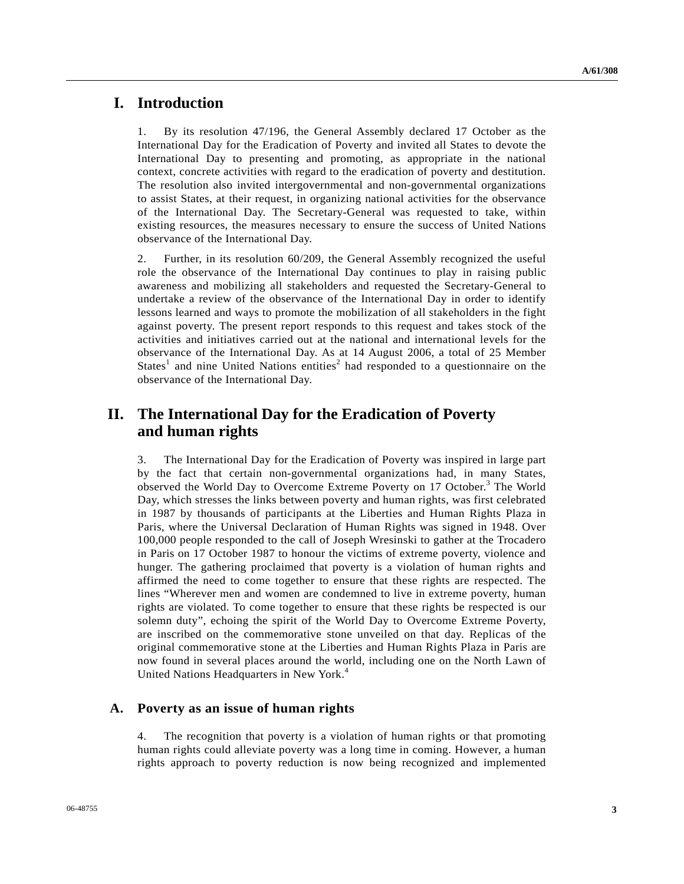# **I. Introduction**

1. By its resolution 47/196, the General Assembly declared 17 October as the International Day for the Eradication of Poverty and invited all States to devote the International Day to presenting and promoting, as appropriate in the national context, concrete activities with regard to the eradication of poverty and destitution. The resolution also invited intergovernmental and non-governmental organizations to assist States, at their request, in organizing national activities for the observance of the International Day. The Secretary-General was requested to take, within existing resources, the measures necessary to ensure the success of United Nations observance of the International Day.

2. Further, in its resolution 60/209, the General Assembly recognized the useful role the observance of the International Day continues to play in raising public awareness and mobilizing all stakeholders and requested the Secretary-General to undertake a review of the observance of the International Day in order to identify lessons learned and ways to promote the mobilization of all stakeholders in the fight against poverty. The present report responds to this request and takes stock of the activities and initiatives carried out at the national and international levels for the observance of the International Day. As at 14 August 2006, a total of 25 Member States<sup>1</sup> and nine United Nations entities<sup>2</sup> had responded to a questionnaire on the observance of the International Day.

# **II. The International Day for the Eradication of Poverty and human rights**

3. The International Day for the Eradication of Poverty was inspired in large part by the fact that certain non-governmental organizations had, in many States, observed the World Day to Overcome Extreme Poverty on 17 October.<sup>3</sup> The World Day, which stresses the links between poverty and human rights, was first celebrated in 1987 by thousands of participants at the Liberties and Human Rights Plaza in Paris, where the Universal Declaration of Human Rights was signed in 1948. Over 100,000 people responded to the call of Joseph Wresinski to gather at the Trocadero in Paris on 17 October 1987 to honour the victims of extreme poverty, violence and hunger. The gathering proclaimed that poverty is a violation of human rights and affirmed the need to come together to ensure that these rights are respected. The lines "Wherever men and women are condemned to live in extreme poverty, human rights are violated. To come together to ensure that these rights be respected is our solemn duty", echoing the spirit of the World Day to Overcome Extreme Poverty, are inscribed on the commemorative stone unveiled on that day. Replicas of the original commemorative stone at the Liberties and Human Rights Plaza in Paris are now found in several places around the world, including one on the North Lawn of United Nations Headquarters in New York.<sup>4</sup>

# **A. Poverty as an issue of human rights**

4. The recognition that poverty is a violation of human rights or that promoting human rights could alleviate poverty was a long time in coming. However, a human rights approach to poverty reduction is now being recognized and implemented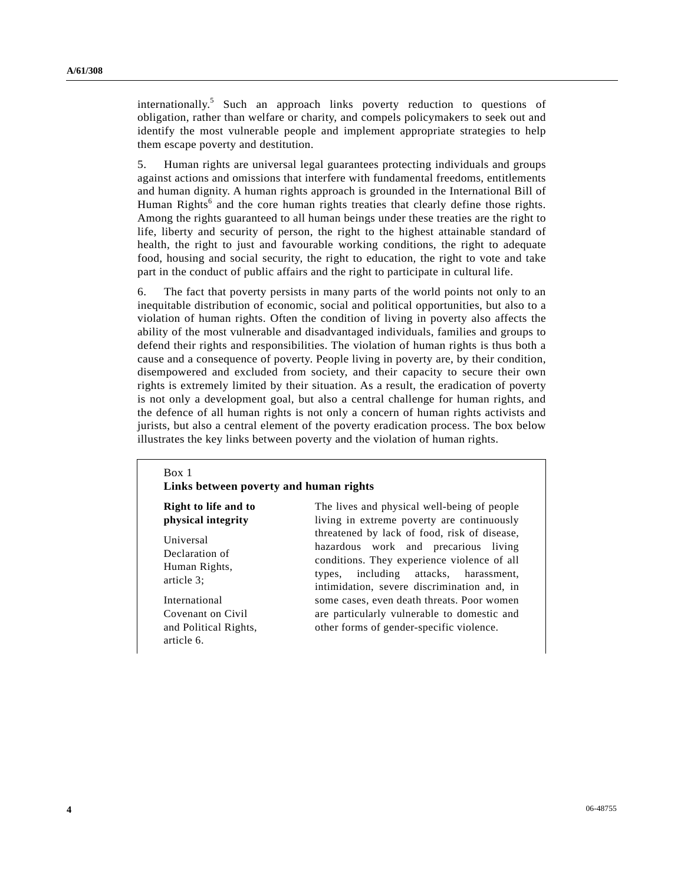internationally.<sup>5</sup> Such an approach links poverty reduction to questions of obligation, rather than welfare or charity, and compels policymakers to seek out and identify the most vulnerable people and implement appropriate strategies to help them escape poverty and destitution.

5. Human rights are universal legal guarantees protecting individuals and groups against actions and omissions that interfere with fundamental freedoms, entitlements and human dignity. A human rights approach is grounded in the International Bill of Human Rights<sup>6</sup> and the core human rights treaties that clearly define those rights. Among the rights guaranteed to all human beings under these treaties are the right to life, liberty and security of person, the right to the highest attainable standard of health, the right to just and favourable working conditions, the right to adequate food, housing and social security, the right to education, the right to vote and take part in the conduct of public affairs and the right to participate in cultural life.

6. The fact that poverty persists in many parts of the world points not only to an inequitable distribution of economic, social and political opportunities, but also to a violation of human rights. Often the condition of living in poverty also affects the ability of the most vulnerable and disadvantaged individuals, families and groups to defend their rights and responsibilities. The violation of human rights is thus both a cause and a consequence of poverty. People living in poverty are, by their condition, disempowered and excluded from society, and their capacity to secure their own rights is extremely limited by their situation. As a result, the eradication of poverty is not only a development goal, but also a central challenge for human rights, and the defence of all human rights is not only a concern of human rights activists and jurists, but also a central element of the poverty eradication process. The box below illustrates the key links between poverty and the violation of human rights.

#### Box 1

#### **Links between poverty and human rights**

**Right to life and to physical integrity** 

Universal Declaration of Human Rights, article 3;

International Covenant on Civil and Political Rights, article 6.

The lives and physical well-being of people living in extreme poverty are continuously threatened by lack of food, risk of disease, hazardous work and precarious living conditions. They experience violence of all types, including attacks, harassment, intimidation, severe discrimination and, in some cases, even death threats. Poor women are particularly vulnerable to domestic and other forms of gender-specific violence.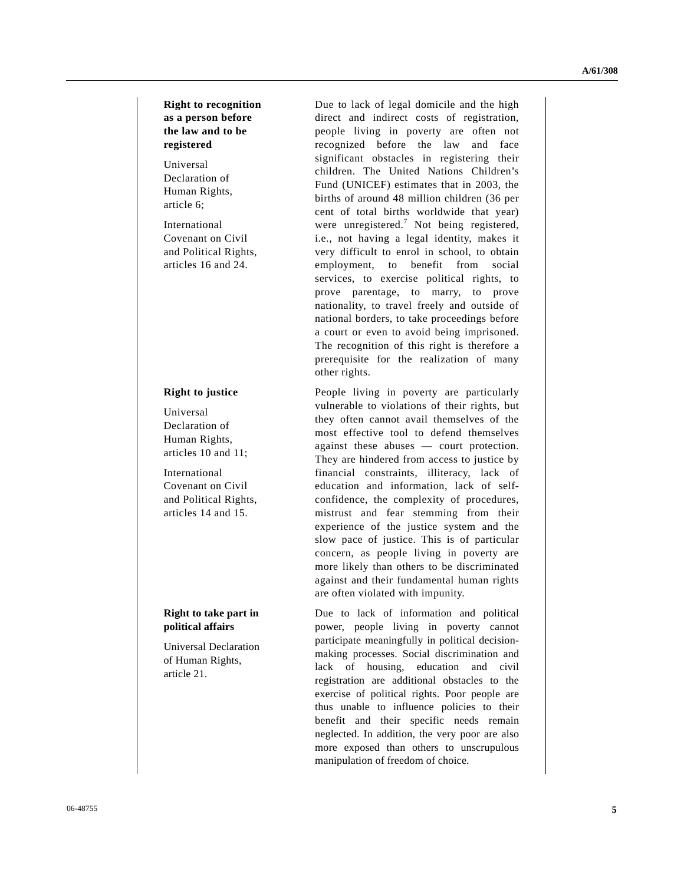**Right to recognition as a person before the law and to be registered** 

Universal Declaration of Human Rights, article 6;

International Covenant on Civil and Political Rights, articles 16 and 24.

### **Right to justice**

Universal Declaration of Human Rights, articles 10 and 11;

International Covenant on Civil and Political Rights, articles 14 and 15.

# **Right to take part in political affairs**

Universal Declaration of Human Rights, article 21.

Due to lack of legal domicile and the high direct and indirect costs of registration, people living in poverty are often not recognized before the law and face significant obstacles in registering their children. The United Nations Children's Fund (UNICEF) estimates that in 2003, the births of around 48 million children (36 per cent of total births worldwide that year) were unregistered.<sup>7</sup> Not being registered, i.e., not having a legal identity, makes it very difficult to enrol in school, to obtain employment, to benefit from social services, to exercise political rights, to prove parentage, to marry, to prove nationality, to travel freely and outside of national borders, to take proceedings before a court or even to avoid being imprisoned. The recognition of this right is therefore a prerequisite for the realization of many other rights.

People living in poverty are particularly vulnerable to violations of their rights, but they often cannot avail themselves of the most effective tool to defend themselves against these abuses — court protection. They are hindered from access to justice by financial constraints, illiteracy, lack of education and information, lack of selfconfidence, the complexity of procedures, mistrust and fear stemming from their experience of the justice system and the slow pace of justice. This is of particular concern, as people living in poverty are more likely than others to be discriminated against and their fundamental human rights are often violated with impunity.

Due to lack of information and political power, people living in poverty cannot participate meaningfully in political decisionmaking processes. Social discrimination and lack of housing, education and civil registration are additional obstacles to the exercise of political rights. Poor people are thus unable to influence policies to their benefit and their specific needs remain neglected. In addition, the very poor are also more exposed than others to unscrupulous manipulation of freedom of choice.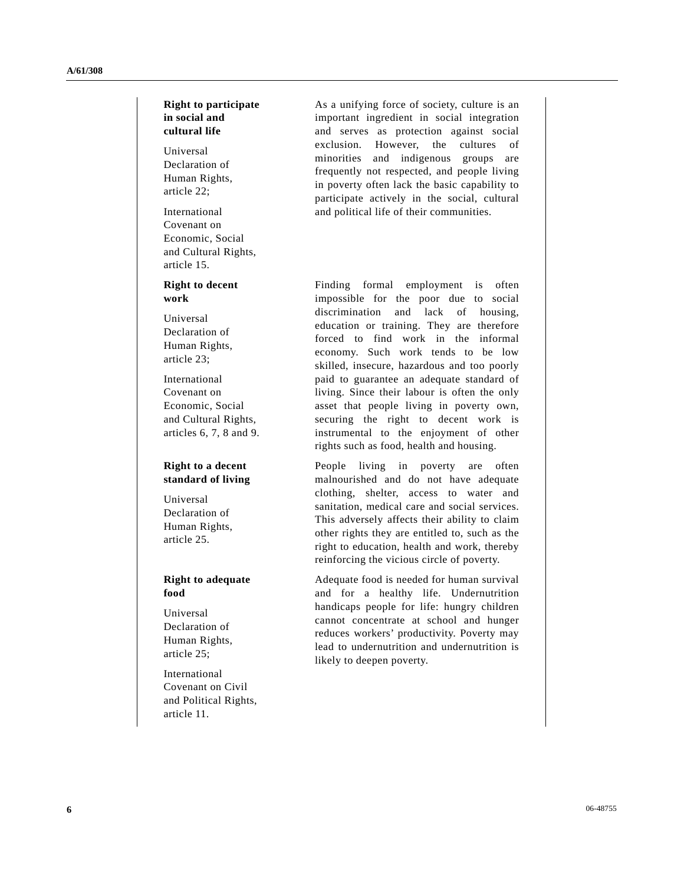# **Right to participate in social and cultural life**

Universal Declaration of Human Rights, article 22;

International Covenant on Economic, Social and Cultural Rights, article 15.

## **Right to decent work**

Universal Declaration of Human Rights, article 23;

International Covenant on Economic, Social and Cultural Rights, articles 6, 7, 8 and 9.

# **Right to a decent standard of living**

Universal Declaration of Human Rights, article 25.

## **Right to adequate food**

Universal Declaration of Human Rights, article 25;

International Covenant on Civil and Political Rights, article 11.

As a unifying force of society, culture is an important ingredient in social integration and serves as protection against social exclusion. However, the cultures of minorities and indigenous groups are frequently not respected, and people living in poverty often lack the basic capability to participate actively in the social, cultural and political life of their communities.

Finding formal employment is often impossible for the poor due to social discrimination and lack of housing, education or training. They are therefore forced to find work in the informal economy. Such work tends to be low skilled, insecure, hazardous and too poorly paid to guarantee an adequate standard of living. Since their labour is often the only asset that people living in poverty own, securing the right to decent work is instrumental to the enjoyment of other rights such as food, health and housing.

People living in poverty are often malnourished and do not have adequate clothing, shelter, access to water and sanitation, medical care and social services. This adversely affects their ability to claim other rights they are entitled to, such as the right to education, health and work, thereby reinforcing the vicious circle of poverty.

Adequate food is needed for human survival and for a healthy life. Undernutrition handicaps people for life: hungry children cannot concentrate at school and hunger reduces workers' productivity. Poverty may lead to undernutrition and undernutrition is likely to deepen poverty.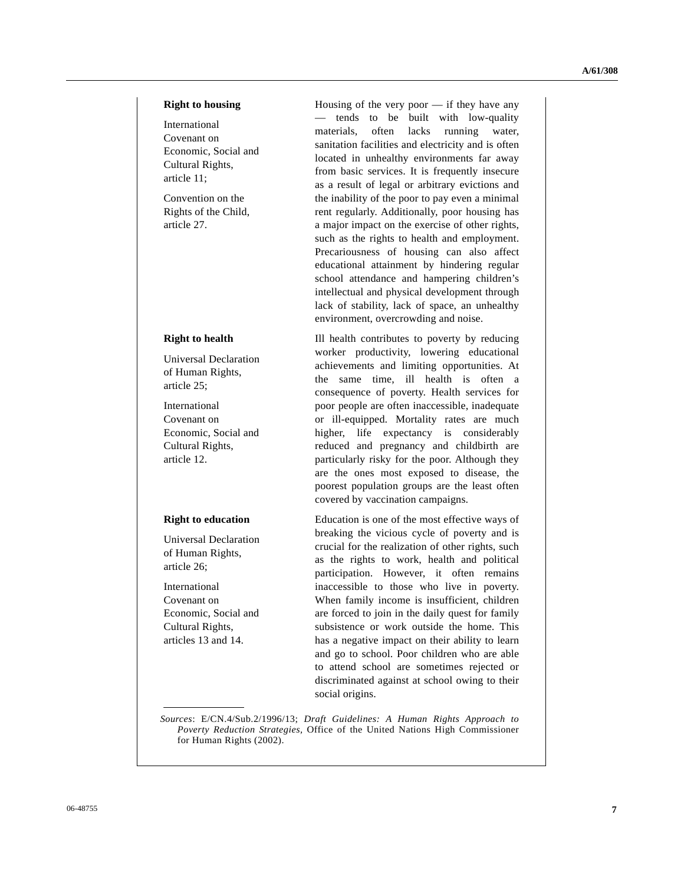### **Right to housing**

International Covenant on Economic, Social and Cultural Rights, article 11;

Convention on the Rights of the Child, article 27.

## **Right to health**

Universal Declaration of Human Rights, article 25;

International Covenant on Economic, Social and Cultural Rights, article 12.

#### **Right to education**

Universal Declaration of Human Rights, article 26;

International Covenant on Economic, Social and Cultural Rights, articles 13 and 14.

Housing of the very poor — if they have any — tends to be built with low-quality materials, often lacks running water, sanitation facilities and electricity and is often located in unhealthy environments far away from basic services. It is frequently insecure as a result of legal or arbitrary evictions and the inability of the poor to pay even a minimal rent regularly. Additionally, poor housing has a major impact on the exercise of other rights, such as the rights to health and employment. Precariousness of housing can also affect educational attainment by hindering regular school attendance and hampering children's intellectual and physical development through lack of stability, lack of space, an unhealthy environment, overcrowding and noise.

Ill health contributes to poverty by reducing worker productivity, lowering educational achievements and limiting opportunities. At the same time, ill health is often a consequence of poverty. Health services for poor people are often inaccessible, inadequate or ill-equipped. Mortality rates are much higher, life expectancy is considerably reduced and pregnancy and childbirth are particularly risky for the poor. Although they are the ones most exposed to disease, the poorest population groups are the least often covered by vaccination campaigns.

Education is one of the most effective ways of breaking the vicious cycle of poverty and is crucial for the realization of other rights, such as the rights to work, health and political participation. However, it often remains inaccessible to those who live in poverty. When family income is insufficient, children are forced to join in the daily quest for family subsistence or work outside the home. This has a negative impact on their ability to learn and go to school. Poor children who are able to attend school are sometimes rejected or discriminated against at school owing to their social origins.

*Sources*: E/CN.4/Sub.2/1996/13; *Draft Guidelines: A Human Rights Approach to Poverty Reduction Strategies,* Office of the United Nations High Commissioner for Human Rights (2002).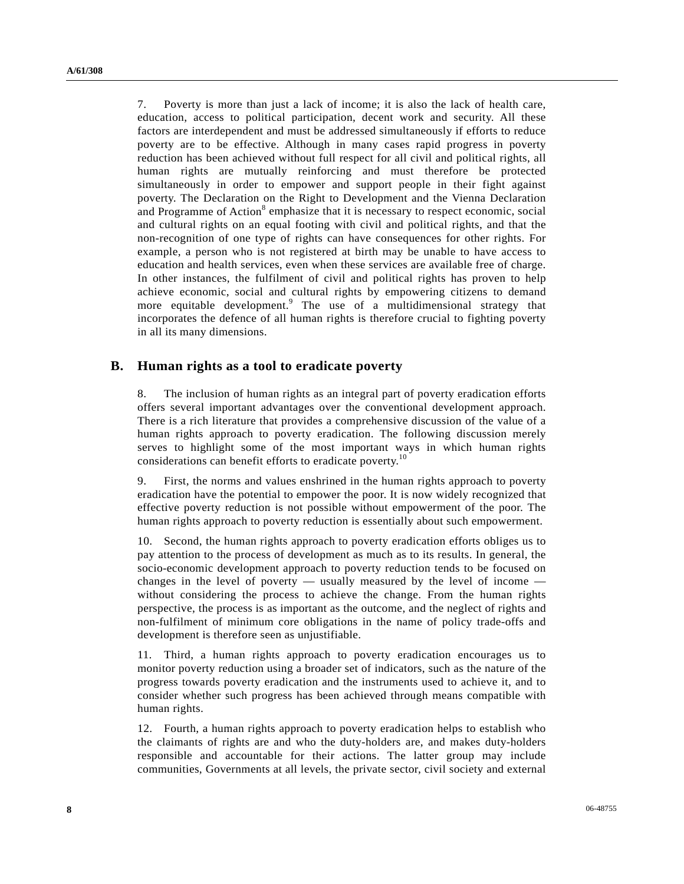7. Poverty is more than just a lack of income; it is also the lack of health care, education, access to political participation, decent work and security. All these factors are interdependent and must be addressed simultaneously if efforts to reduce poverty are to be effective. Although in many cases rapid progress in poverty reduction has been achieved without full respect for all civil and political rights, all human rights are mutually reinforcing and must therefore be protected simultaneously in order to empower and support people in their fight against poverty. The Declaration on the Right to Development and the Vienna Declaration and Programme of Action<sup>8</sup> emphasize that it is necessary to respect economic, social and cultural rights on an equal footing with civil and political rights, and that the non-recognition of one type of rights can have consequences for other rights. For example, a person who is not registered at birth may be unable to have access to education and health services, even when these services are available free of charge. In other instances, the fulfilment of civil and political rights has proven to help achieve economic, social and cultural rights by empowering citizens to demand more equitable development.<sup>9</sup> The use of a multidimensional strategy that incorporates the defence of all human rights is therefore crucial to fighting poverty in all its many dimensions.

# **B. Human rights as a tool to eradicate poverty**

8. The inclusion of human rights as an integral part of poverty eradication efforts offers several important advantages over the conventional development approach. There is a rich literature that provides a comprehensive discussion of the value of a human rights approach to poverty eradication. The following discussion merely serves to highlight some of the most important ways in which human rights considerations can benefit efforts to eradicate poverty.<sup>10</sup>

9. First, the norms and values enshrined in the human rights approach to poverty eradication have the potential to empower the poor. It is now widely recognized that effective poverty reduction is not possible without empowerment of the poor. The human rights approach to poverty reduction is essentially about such empowerment.

10. Second, the human rights approach to poverty eradication efforts obliges us to pay attention to the process of development as much as to its results. In general, the socio-economic development approach to poverty reduction tends to be focused on changes in the level of poverty — usually measured by the level of income without considering the process to achieve the change. From the human rights perspective, the process is as important as the outcome, and the neglect of rights and non-fulfilment of minimum core obligations in the name of policy trade-offs and development is therefore seen as unjustifiable.

11. Third, a human rights approach to poverty eradication encourages us to monitor poverty reduction using a broader set of indicators, such as the nature of the progress towards poverty eradication and the instruments used to achieve it, and to consider whether such progress has been achieved through means compatible with human rights.

12. Fourth, a human rights approach to poverty eradication helps to establish who the claimants of rights are and who the duty-holders are, and makes duty-holders responsible and accountable for their actions. The latter group may include communities, Governments at all levels, the private sector, civil society and external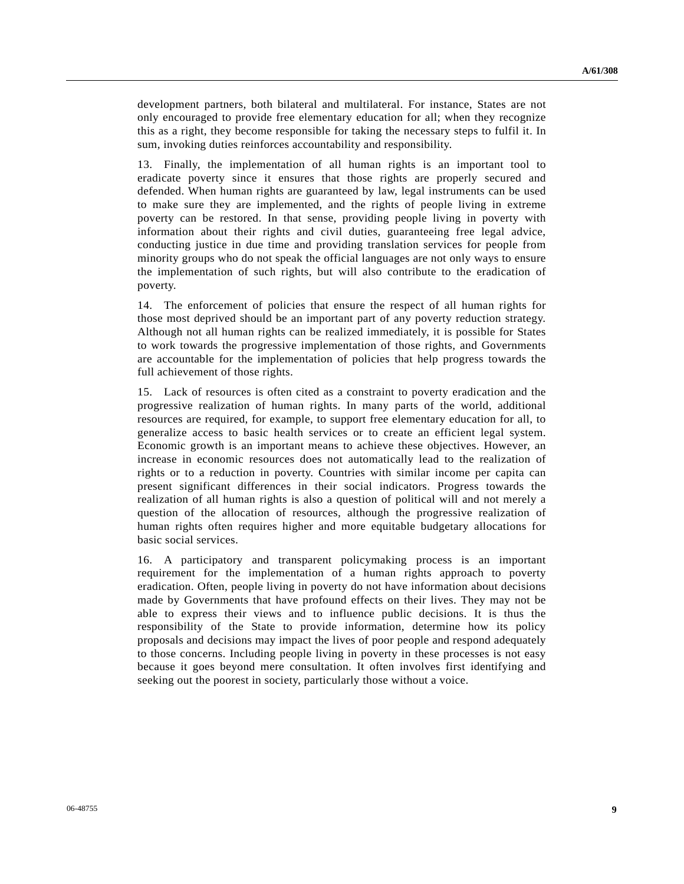development partners, both bilateral and multilateral. For instance, States are not only encouraged to provide free elementary education for all; when they recognize this as a right, they become responsible for taking the necessary steps to fulfil it. In sum, invoking duties reinforces accountability and responsibility.

13. Finally, the implementation of all human rights is an important tool to eradicate poverty since it ensures that those rights are properly secured and defended. When human rights are guaranteed by law, legal instruments can be used to make sure they are implemented, and the rights of people living in extreme poverty can be restored. In that sense, providing people living in poverty with information about their rights and civil duties, guaranteeing free legal advice, conducting justice in due time and providing translation services for people from minority groups who do not speak the official languages are not only ways to ensure the implementation of such rights, but will also contribute to the eradication of poverty.

14. The enforcement of policies that ensure the respect of all human rights for those most deprived should be an important part of any poverty reduction strategy. Although not all human rights can be realized immediately, it is possible for States to work towards the progressive implementation of those rights, and Governments are accountable for the implementation of policies that help progress towards the full achievement of those rights.

15. Lack of resources is often cited as a constraint to poverty eradication and the progressive realization of human rights. In many parts of the world, additional resources are required, for example, to support free elementary education for all, to generalize access to basic health services or to create an efficient legal system. Economic growth is an important means to achieve these objectives. However, an increase in economic resources does not automatically lead to the realization of rights or to a reduction in poverty. Countries with similar income per capita can present significant differences in their social indicators. Progress towards the realization of all human rights is also a question of political will and not merely a question of the allocation of resources, although the progressive realization of human rights often requires higher and more equitable budgetary allocations for basic social services.

16. A participatory and transparent policymaking process is an important requirement for the implementation of a human rights approach to poverty eradication. Often, people living in poverty do not have information about decisions made by Governments that have profound effects on their lives. They may not be able to express their views and to influence public decisions. It is thus the responsibility of the State to provide information, determine how its policy proposals and decisions may impact the lives of poor people and respond adequately to those concerns. Including people living in poverty in these processes is not easy because it goes beyond mere consultation. It often involves first identifying and seeking out the poorest in society, particularly those without a voice.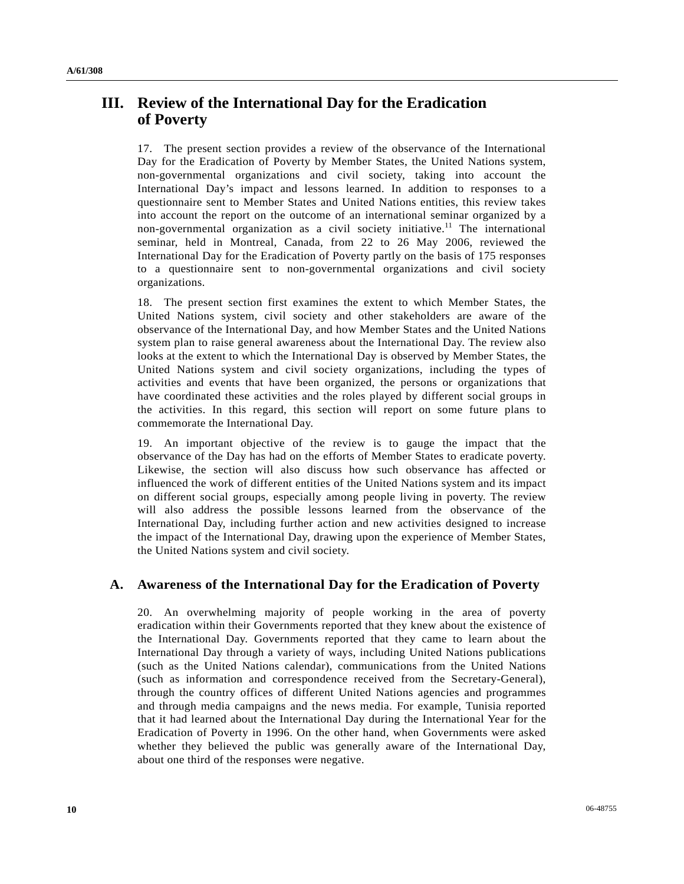# **III. Review of the International Day for the Eradication of Poverty**

17. The present section provides a review of the observance of the International Day for the Eradication of Poverty by Member States, the United Nations system, non-governmental organizations and civil society, taking into account the International Day's impact and lessons learned. In addition to responses to a questionnaire sent to Member States and United Nations entities, this review takes into account the report on the outcome of an international seminar organized by a non-governmental organization as a civil society initiative.<sup>11</sup> The international seminar, held in Montreal, Canada, from 22 to 26 May 2006, reviewed the International Day for the Eradication of Poverty partly on the basis of 175 responses to a questionnaire sent to non-governmental organizations and civil society organizations.

18. The present section first examines the extent to which Member States, the United Nations system, civil society and other stakeholders are aware of the observance of the International Day, and how Member States and the United Nations system plan to raise general awareness about the International Day. The review also looks at the extent to which the International Day is observed by Member States, the United Nations system and civil society organizations, including the types of activities and events that have been organized, the persons or organizations that have coordinated these activities and the roles played by different social groups in the activities. In this regard, this section will report on some future plans to commemorate the International Day.

19. An important objective of the review is to gauge the impact that the observance of the Day has had on the efforts of Member States to eradicate poverty. Likewise, the section will also discuss how such observance has affected or influenced the work of different entities of the United Nations system and its impact on different social groups, especially among people living in poverty. The review will also address the possible lessons learned from the observance of the International Day, including further action and new activities designed to increase the impact of the International Day, drawing upon the experience of Member States, the United Nations system and civil society.

# **A. Awareness of the International Day for the Eradication of Poverty**

20. An overwhelming majority of people working in the area of poverty eradication within their Governments reported that they knew about the existence of the International Day. Governments reported that they came to learn about the International Day through a variety of ways, including United Nations publications (such as the United Nations calendar), communications from the United Nations (such as information and correspondence received from the Secretary-General), through the country offices of different United Nations agencies and programmes and through media campaigns and the news media. For example, Tunisia reported that it had learned about the International Day during the International Year for the Eradication of Poverty in 1996. On the other hand, when Governments were asked whether they believed the public was generally aware of the International Day, about one third of the responses were negative.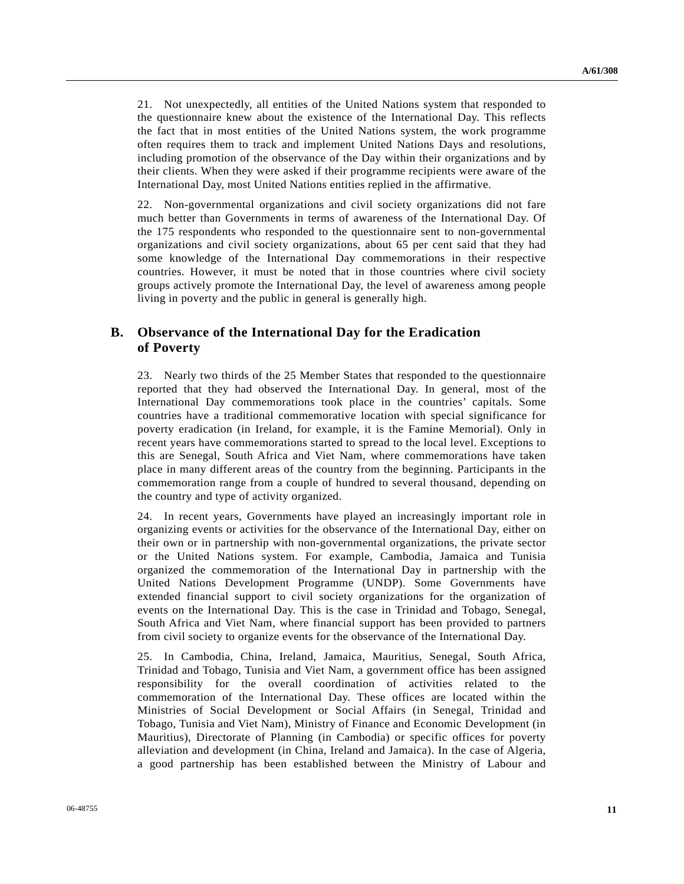21. Not unexpectedly, all entities of the United Nations system that responded to the questionnaire knew about the existence of the International Day. This reflects the fact that in most entities of the United Nations system, the work programme often requires them to track and implement United Nations Days and resolutions, including promotion of the observance of the Day within their organizations and by their clients. When they were asked if their programme recipients were aware of the International Day, most United Nations entities replied in the affirmative.

22. Non-governmental organizations and civil society organizations did not fare much better than Governments in terms of awareness of the International Day. Of the 175 respondents who responded to the questionnaire sent to non-governmental organizations and civil society organizations, about 65 per cent said that they had some knowledge of the International Day commemorations in their respective countries. However, it must be noted that in those countries where civil society groups actively promote the International Day, the level of awareness among people living in poverty and the public in general is generally high.

# **B. Observance of the International Day for the Eradication of Poverty**

23. Nearly two thirds of the 25 Member States that responded to the questionnaire reported that they had observed the International Day. In general, most of the International Day commemorations took place in the countries' capitals. Some countries have a traditional commemorative location with special significance for poverty eradication (in Ireland, for example, it is the Famine Memorial). Only in recent years have commemorations started to spread to the local level. Exceptions to this are Senegal, South Africa and Viet Nam, where commemorations have taken place in many different areas of the country from the beginning. Participants in the commemoration range from a couple of hundred to several thousand, depending on the country and type of activity organized.

24. In recent years, Governments have played an increasingly important role in organizing events or activities for the observance of the International Day, either on their own or in partnership with non-governmental organizations, the private sector or the United Nations system. For example, Cambodia, Jamaica and Tunisia organized the commemoration of the International Day in partnership with the United Nations Development Programme (UNDP). Some Governments have extended financial support to civil society organizations for the organization of events on the International Day. This is the case in Trinidad and Tobago, Senegal, South Africa and Viet Nam, where financial support has been provided to partners from civil society to organize events for the observance of the International Day.

25. In Cambodia, China, Ireland, Jamaica, Mauritius, Senegal, South Africa, Trinidad and Tobago, Tunisia and Viet Nam, a government office has been assigned responsibility for the overall coordination of activities related to the commemoration of the International Day. These offices are located within the Ministries of Social Development or Social Affairs (in Senegal, Trinidad and Tobago, Tunisia and Viet Nam), Ministry of Finance and Economic Development (in Mauritius), Directorate of Planning (in Cambodia) or specific offices for poverty alleviation and development (in China, Ireland and Jamaica). In the case of Algeria, a good partnership has been established between the Ministry of Labour and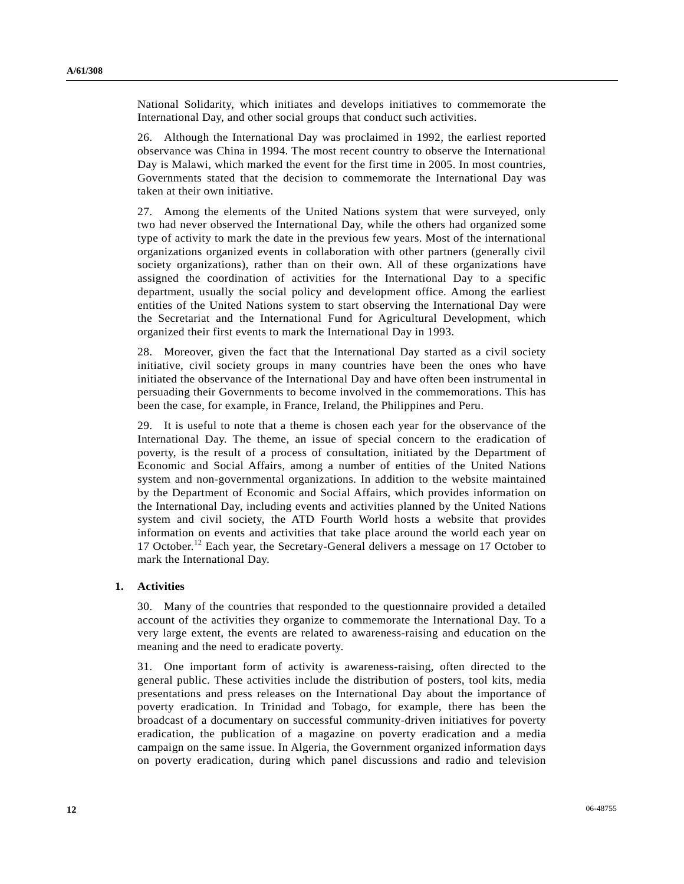National Solidarity, which initiates and develops initiatives to commemorate the International Day, and other social groups that conduct such activities.

26. Although the International Day was proclaimed in 1992, the earliest reported observance was China in 1994. The most recent country to observe the International Day is Malawi, which marked the event for the first time in 2005. In most countries, Governments stated that the decision to commemorate the International Day was taken at their own initiative.

27. Among the elements of the United Nations system that were surveyed, only two had never observed the International Day, while the others had organized some type of activity to mark the date in the previous few years. Most of the international organizations organized events in collaboration with other partners (generally civil society organizations), rather than on their own. All of these organizations have assigned the coordination of activities for the International Day to a specific department, usually the social policy and development office. Among the earliest entities of the United Nations system to start observing the International Day were the Secretariat and the International Fund for Agricultural Development, which organized their first events to mark the International Day in 1993.

28. Moreover, given the fact that the International Day started as a civil society initiative, civil society groups in many countries have been the ones who have initiated the observance of the International Day and have often been instrumental in persuading their Governments to become involved in the commemorations. This has been the case, for example, in France, Ireland, the Philippines and Peru.

29. It is useful to note that a theme is chosen each year for the observance of the International Day. The theme, an issue of special concern to the eradication of poverty, is the result of a process of consultation, initiated by the Department of Economic and Social Affairs, among a number of entities of the United Nations system and non-governmental organizations. In addition to the website maintained by the Department of Economic and Social Affairs, which provides information on the International Day, including events and activities planned by the United Nations system and civil society, the ATD Fourth World hosts a website that provides information on events and activities that take place around the world each year on 17 October.<sup>12</sup> Each year, the Secretary-General delivers a message on 17 October to mark the International Day.

## **1. Activities**

30. Many of the countries that responded to the questionnaire provided a detailed account of the activities they organize to commemorate the International Day. To a very large extent, the events are related to awareness-raising and education on the meaning and the need to eradicate poverty.

31. One important form of activity is awareness-raising, often directed to the general public. These activities include the distribution of posters, tool kits, media presentations and press releases on the International Day about the importance of poverty eradication. In Trinidad and Tobago, for example, there has been the broadcast of a documentary on successful community-driven initiatives for poverty eradication, the publication of a magazine on poverty eradication and a media campaign on the same issue. In Algeria, the Government organized information days on poverty eradication, during which panel discussions and radio and television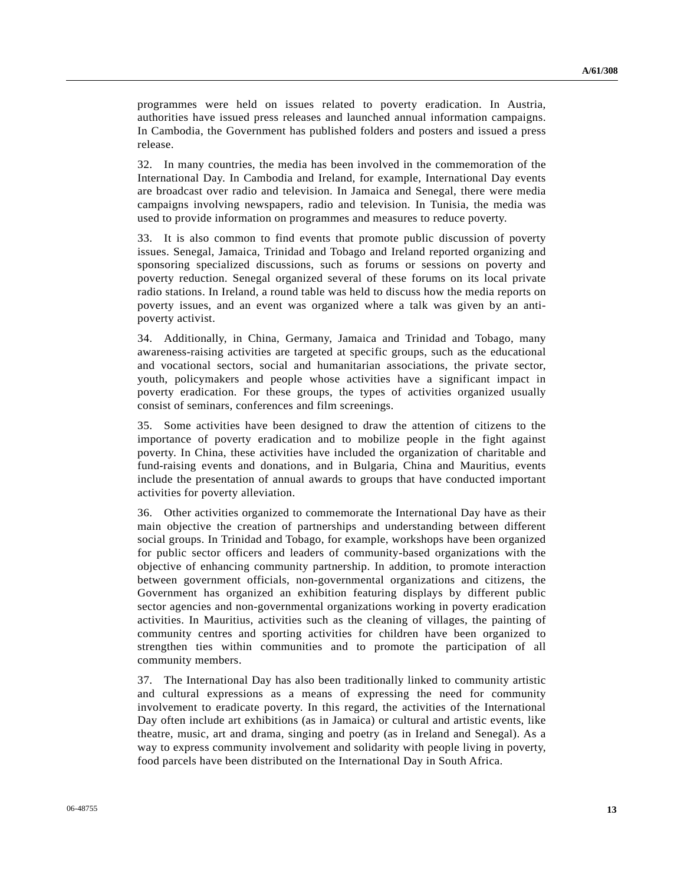programmes were held on issues related to poverty eradication. In Austria, authorities have issued press releases and launched annual information campaigns. In Cambodia, the Government has published folders and posters and issued a press release.

32. In many countries, the media has been involved in the commemoration of the International Day. In Cambodia and Ireland, for example, International Day events are broadcast over radio and television. In Jamaica and Senegal, there were media campaigns involving newspapers, radio and television. In Tunisia, the media was used to provide information on programmes and measures to reduce poverty.

33. It is also common to find events that promote public discussion of poverty issues. Senegal, Jamaica, Trinidad and Tobago and Ireland reported organizing and sponsoring specialized discussions, such as forums or sessions on poverty and poverty reduction. Senegal organized several of these forums on its local private radio stations. In Ireland, a round table was held to discuss how the media reports on poverty issues, and an event was organized where a talk was given by an antipoverty activist.

34. Additionally, in China, Germany, Jamaica and Trinidad and Tobago, many awareness-raising activities are targeted at specific groups, such as the educational and vocational sectors, social and humanitarian associations, the private sector, youth, policymakers and people whose activities have a significant impact in poverty eradication. For these groups, the types of activities organized usually consist of seminars, conferences and film screenings.

35. Some activities have been designed to draw the attention of citizens to the importance of poverty eradication and to mobilize people in the fight against poverty. In China, these activities have included the organization of charitable and fund-raising events and donations, and in Bulgaria, China and Mauritius, events include the presentation of annual awards to groups that have conducted important activities for poverty alleviation.

36. Other activities organized to commemorate the International Day have as their main objective the creation of partnerships and understanding between different social groups. In Trinidad and Tobago, for example, workshops have been organized for public sector officers and leaders of community-based organizations with the objective of enhancing community partnership. In addition, to promote interaction between government officials, non-governmental organizations and citizens, the Government has organized an exhibition featuring displays by different public sector agencies and non-governmental organizations working in poverty eradication activities. In Mauritius, activities such as the cleaning of villages, the painting of community centres and sporting activities for children have been organized to strengthen ties within communities and to promote the participation of all community members.

37. The International Day has also been traditionally linked to community artistic and cultural expressions as a means of expressing the need for community involvement to eradicate poverty. In this regard, the activities of the International Day often include art exhibitions (as in Jamaica) or cultural and artistic events, like theatre, music, art and drama, singing and poetry (as in Ireland and Senegal). As a way to express community involvement and solidarity with people living in poverty, food parcels have been distributed on the International Day in South Africa.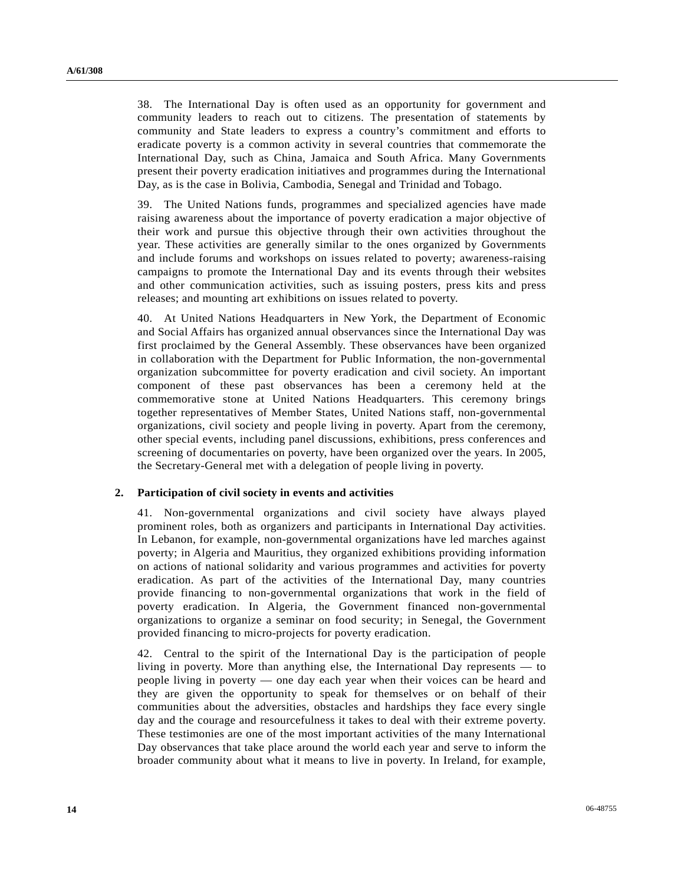38. The International Day is often used as an opportunity for government and community leaders to reach out to citizens. The presentation of statements by community and State leaders to express a country's commitment and efforts to eradicate poverty is a common activity in several countries that commemorate the International Day, such as China, Jamaica and South Africa. Many Governments present their poverty eradication initiatives and programmes during the International Day, as is the case in Bolivia, Cambodia, Senegal and Trinidad and Tobago.

39. The United Nations funds, programmes and specialized agencies have made raising awareness about the importance of poverty eradication a major objective of their work and pursue this objective through their own activities throughout the year. These activities are generally similar to the ones organized by Governments and include forums and workshops on issues related to poverty; awareness-raising campaigns to promote the International Day and its events through their websites and other communication activities, such as issuing posters, press kits and press releases; and mounting art exhibitions on issues related to poverty.

40. At United Nations Headquarters in New York, the Department of Economic and Social Affairs has organized annual observances since the International Day was first proclaimed by the General Assembly. These observances have been organized in collaboration with the Department for Public Information, the non-governmental organization subcommittee for poverty eradication and civil society. An important component of these past observances has been a ceremony held at the commemorative stone at United Nations Headquarters. This ceremony brings together representatives of Member States, United Nations staff, non-governmental organizations, civil society and people living in poverty. Apart from the ceremony, other special events, including panel discussions, exhibitions, press conferences and screening of documentaries on poverty, have been organized over the years. In 2005, the Secretary-General met with a delegation of people living in poverty.

## **2. Participation of civil society in events and activities**

41. Non-governmental organizations and civil society have always played prominent roles, both as organizers and participants in International Day activities. In Lebanon, for example, non-governmental organizations have led marches against poverty; in Algeria and Mauritius, they organized exhibitions providing information on actions of national solidarity and various programmes and activities for poverty eradication. As part of the activities of the International Day, many countries provide financing to non-governmental organizations that work in the field of poverty eradication. In Algeria, the Government financed non-governmental organizations to organize a seminar on food security; in Senegal, the Government provided financing to micro-projects for poverty eradication.

42. Central to the spirit of the International Day is the participation of people living in poverty. More than anything else, the International Day represents — to people living in poverty — one day each year when their voices can be heard and they are given the opportunity to speak for themselves or on behalf of their communities about the adversities, obstacles and hardships they face every single day and the courage and resourcefulness it takes to deal with their extreme poverty. These testimonies are one of the most important activities of the many International Day observances that take place around the world each year and serve to inform the broader community about what it means to live in poverty. In Ireland, for example,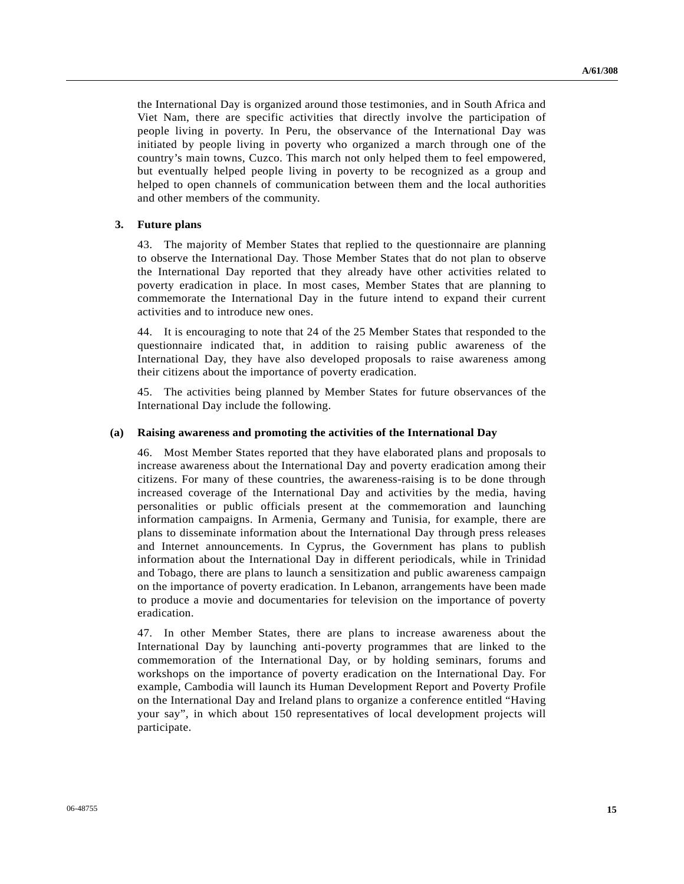the International Day is organized around those testimonies, and in South Africa and Viet Nam, there are specific activities that directly involve the participation of people living in poverty. In Peru, the observance of the International Day was initiated by people living in poverty who organized a march through one of the country's main towns, Cuzco. This march not only helped them to feel empowered, but eventually helped people living in poverty to be recognized as a group and helped to open channels of communication between them and the local authorities and other members of the community.

### **3. Future plans**

43. The majority of Member States that replied to the questionnaire are planning to observe the International Day. Those Member States that do not plan to observe the International Day reported that they already have other activities related to poverty eradication in place. In most cases, Member States that are planning to commemorate the International Day in the future intend to expand their current activities and to introduce new ones.

44. It is encouraging to note that 24 of the 25 Member States that responded to the questionnaire indicated that, in addition to raising public awareness of the International Day, they have also developed proposals to raise awareness among their citizens about the importance of poverty eradication.

45. The activities being planned by Member States for future observances of the International Day include the following.

#### **(a) Raising awareness and promoting the activities of the International Day**

46. Most Member States reported that they have elaborated plans and proposals to increase awareness about the International Day and poverty eradication among their citizens. For many of these countries, the awareness-raising is to be done through increased coverage of the International Day and activities by the media, having personalities or public officials present at the commemoration and launching information campaigns. In Armenia, Germany and Tunisia, for example, there are plans to disseminate information about the International Day through press releases and Internet announcements. In Cyprus, the Government has plans to publish information about the International Day in different periodicals, while in Trinidad and Tobago, there are plans to launch a sensitization and public awareness campaign on the importance of poverty eradication. In Lebanon, arrangements have been made to produce a movie and documentaries for television on the importance of poverty eradication.

47. In other Member States, there are plans to increase awareness about the International Day by launching anti-poverty programmes that are linked to the commemoration of the International Day, or by holding seminars, forums and workshops on the importance of poverty eradication on the International Day. For example, Cambodia will launch its Human Development Report and Poverty Profile on the International Day and Ireland plans to organize a conference entitled "Having your say", in which about 150 representatives of local development projects will participate.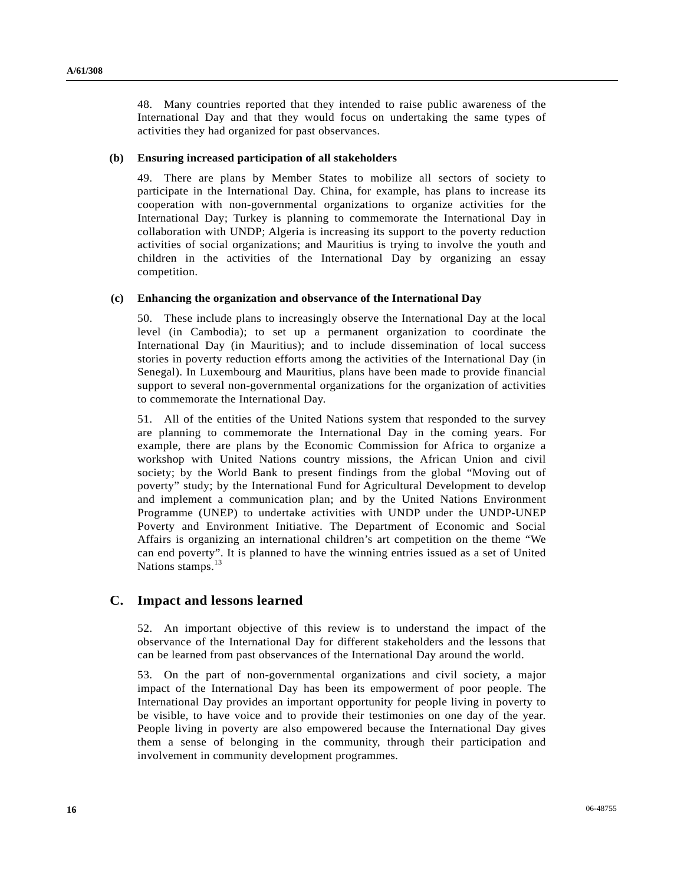48. Many countries reported that they intended to raise public awareness of the International Day and that they would focus on undertaking the same types of activities they had organized for past observances.

#### **(b) Ensuring increased participation of all stakeholders**

49. There are plans by Member States to mobilize all sectors of society to participate in the International Day. China, for example, has plans to increase its cooperation with non-governmental organizations to organize activities for the International Day; Turkey is planning to commemorate the International Day in collaboration with UNDP; Algeria is increasing its support to the poverty reduction activities of social organizations; and Mauritius is trying to involve the youth and children in the activities of the International Day by organizing an essay competition.

### **(c) Enhancing the organization and observance of the International Day**

50. These include plans to increasingly observe the International Day at the local level (in Cambodia); to set up a permanent organization to coordinate the International Day (in Mauritius); and to include dissemination of local success stories in poverty reduction efforts among the activities of the International Day (in Senegal). In Luxembourg and Mauritius, plans have been made to provide financial support to several non-governmental organizations for the organization of activities to commemorate the International Day.

51. All of the entities of the United Nations system that responded to the survey are planning to commemorate the International Day in the coming years. For example, there are plans by the Economic Commission for Africa to organize a workshop with United Nations country missions, the African Union and civil society; by the World Bank to present findings from the global "Moving out of poverty" study; by the International Fund for Agricultural Development to develop and implement a communication plan; and by the United Nations Environment Programme (UNEP) to undertake activities with UNDP under the UNDP-UNEP Poverty and Environment Initiative. The Department of Economic and Social Affairs is organizing an international children's art competition on the theme "We can end poverty". It is planned to have the winning entries issued as a set of United Nations stamps.<sup>13</sup>

# **C. Impact and lessons learned**

52. An important objective of this review is to understand the impact of the observance of the International Day for different stakeholders and the lessons that can be learned from past observances of the International Day around the world.

53. On the part of non-governmental organizations and civil society, a major impact of the International Day has been its empowerment of poor people. The International Day provides an important opportunity for people living in poverty to be visible, to have voice and to provide their testimonies on one day of the year. People living in poverty are also empowered because the International Day gives them a sense of belonging in the community, through their participation and involvement in community development programmes.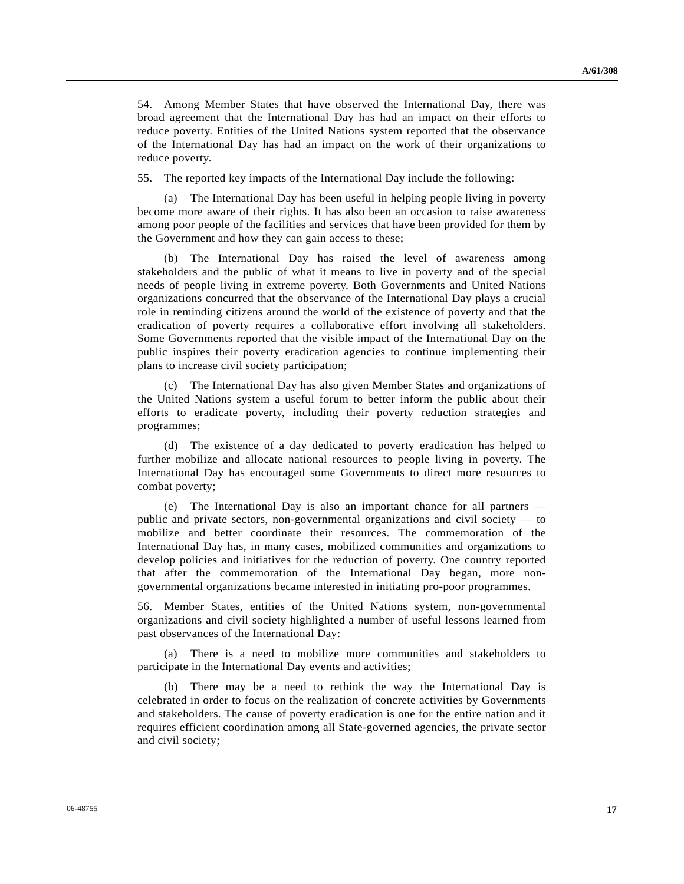54. Among Member States that have observed the International Day, there was broad agreement that the International Day has had an impact on their efforts to reduce poverty. Entities of the United Nations system reported that the observance of the International Day has had an impact on the work of their organizations to reduce poverty.

55. The reported key impacts of the International Day include the following:

 (a) The International Day has been useful in helping people living in poverty become more aware of their rights. It has also been an occasion to raise awareness among poor people of the facilities and services that have been provided for them by the Government and how they can gain access to these;

 (b) The International Day has raised the level of awareness among stakeholders and the public of what it means to live in poverty and of the special needs of people living in extreme poverty. Both Governments and United Nations organizations concurred that the observance of the International Day plays a crucial role in reminding citizens around the world of the existence of poverty and that the eradication of poverty requires a collaborative effort involving all stakeholders. Some Governments reported that the visible impact of the International Day on the public inspires their poverty eradication agencies to continue implementing their plans to increase civil society participation;

 (c) The International Day has also given Member States and organizations of the United Nations system a useful forum to better inform the public about their efforts to eradicate poverty, including their poverty reduction strategies and programmes;

 (d) The existence of a day dedicated to poverty eradication has helped to further mobilize and allocate national resources to people living in poverty. The International Day has encouraged some Governments to direct more resources to combat poverty;

 (e) The International Day is also an important chance for all partners public and private sectors, non-governmental organizations and civil society — to mobilize and better coordinate their resources. The commemoration of the International Day has, in many cases, mobilized communities and organizations to develop policies and initiatives for the reduction of poverty. One country reported that after the commemoration of the International Day began, more nongovernmental organizations became interested in initiating pro-poor programmes.

56. Member States, entities of the United Nations system, non-governmental organizations and civil society highlighted a number of useful lessons learned from past observances of the International Day:

 (a) There is a need to mobilize more communities and stakeholders to participate in the International Day events and activities;

 (b) There may be a need to rethink the way the International Day is celebrated in order to focus on the realization of concrete activities by Governments and stakeholders. The cause of poverty eradication is one for the entire nation and it requires efficient coordination among all State-governed agencies, the private sector and civil society;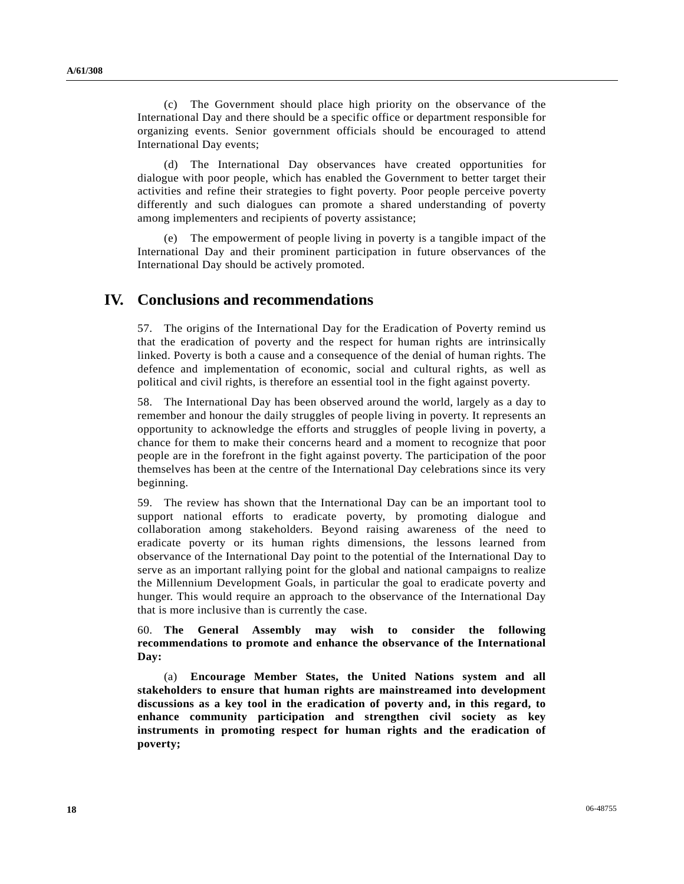(c) The Government should place high priority on the observance of the International Day and there should be a specific office or department responsible for organizing events. Senior government officials should be encouraged to attend International Day events;

 (d) The International Day observances have created opportunities for dialogue with poor people, which has enabled the Government to better target their activities and refine their strategies to fight poverty. Poor people perceive poverty differently and such dialogues can promote a shared understanding of poverty among implementers and recipients of poverty assistance;

 (e) The empowerment of people living in poverty is a tangible impact of the International Day and their prominent participation in future observances of the International Day should be actively promoted.

# **IV. Conclusions and recommendations**

57. The origins of the International Day for the Eradication of Poverty remind us that the eradication of poverty and the respect for human rights are intrinsically linked. Poverty is both a cause and a consequence of the denial of human rights. The defence and implementation of economic, social and cultural rights, as well as political and civil rights, is therefore an essential tool in the fight against poverty.

58. The International Day has been observed around the world, largely as a day to remember and honour the daily struggles of people living in poverty. It represents an opportunity to acknowledge the efforts and struggles of people living in poverty, a chance for them to make their concerns heard and a moment to recognize that poor people are in the forefront in the fight against poverty. The participation of the poor themselves has been at the centre of the International Day celebrations since its very beginning.

59. The review has shown that the International Day can be an important tool to support national efforts to eradicate poverty, by promoting dialogue and collaboration among stakeholders. Beyond raising awareness of the need to eradicate poverty or its human rights dimensions, the lessons learned from observance of the International Day point to the potential of the International Day to serve as an important rallying point for the global and national campaigns to realize the Millennium Development Goals, in particular the goal to eradicate poverty and hunger. This would require an approach to the observance of the International Day that is more inclusive than is currently the case.

60. **The General Assembly may wish to consider the following recommendations to promote and enhance the observance of the International Day:** 

 (a) **Encourage Member States, the United Nations system and all stakeholders to ensure that human rights are mainstreamed into development discussions as a key tool in the eradication of poverty and, in this regard, to enhance community participation and strengthen civil society as key instruments in promoting respect for human rights and the eradication of poverty;**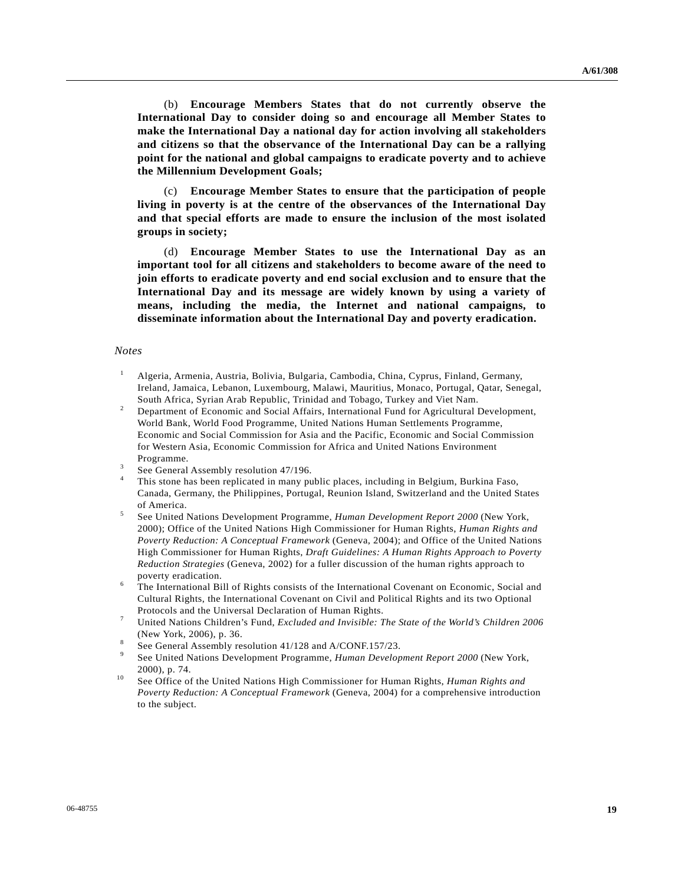(b) **Encourage Members States that do not currently observe the International Day to consider doing so and encourage all Member States to make the International Day a national day for action involving all stakeholders and citizens so that the observance of the International Day can be a rallying point for the national and global campaigns to eradicate poverty and to achieve the Millennium Development Goals;** 

 (c) **Encourage Member States to ensure that the participation of people living in poverty is at the centre of the observances of the International Day and that special efforts are made to ensure the inclusion of the most isolated groups in society;**

 (d) **Encourage Member States to use the International Day as an important tool for all citizens and stakeholders to become aware of the need to join efforts to eradicate poverty and end social exclusion and to ensure that the International Day and its message are widely known by using a variety of means, including the media, the Internet and national campaigns, to disseminate information about the International Day and poverty eradication.**

### *Notes*

- <sup>1</sup> Algeria, Armenia, Austria, Bolivia, Bulgaria, Cambodia, China, Cyprus, Finland, Germany, Ireland, Jamaica, Lebanon, Luxembourg, Malawi, Mauritius, Monaco, Portugal, Qatar, Senegal, South Africa, Syrian Arab Republic, Trinidad and Tobago, Turkey and Viet Nam. 2
- Department of Economic and Social Affairs, International Fund for Agricultural Development, World Bank, World Food Programme, United Nations Human Settlements Programme, Economic and Social Commission for Asia and the Pacific, Economic and Social Commission for Western Asia, Economic Commission for Africa and United Nations Environment Programme.
- See General Assembly resolution 47/196.
- 4 This stone has been replicated in many public places, including in Belgium, Burkina Faso, Canada, Germany, the Philippines, Portugal, Reunion Island, Switzerland and the United States of America.
- See United Nations Development Programme, *Human Development Report 2000* (New York, 2000); Office of the United Nations High Commissioner for Human Rights, *Human Rights and Poverty Reduction: A Conceptual Framework* (Geneva, 2004); and Office of the United Nations High Commissioner for Human Rights, *Draft Guidelines: A Human Rights Approach to Poverty Reduction Strategies* (Geneva, 2002) for a fuller discussion of the human rights approach to poverty eradication.
- The International Bill of Rights consists of the International Covenant on Economic, Social and Cultural Rights, the International Covenant on Civil and Political Rights and its two Optional Protocols and the Universal Declaration of Human Rights.
- United Nations Children's Fund, *Excluded and Invisible: The State of the World's Children 2006*  (New York, 2006), p. 36.  $\text{See General Assembly resolution } 41/128$  and A/CONF.157/23.
- 
- See United Nations Development Programme, *Human Development Report 2000* (New York, 2000), p. 74.<br>See Office of the United Nations High Commissioner for Human Rights, *Human Rights and*
- *Poverty Reduction: A Conceptual Framework* (Geneva, 2004) for a comprehensive introduction to the subject.